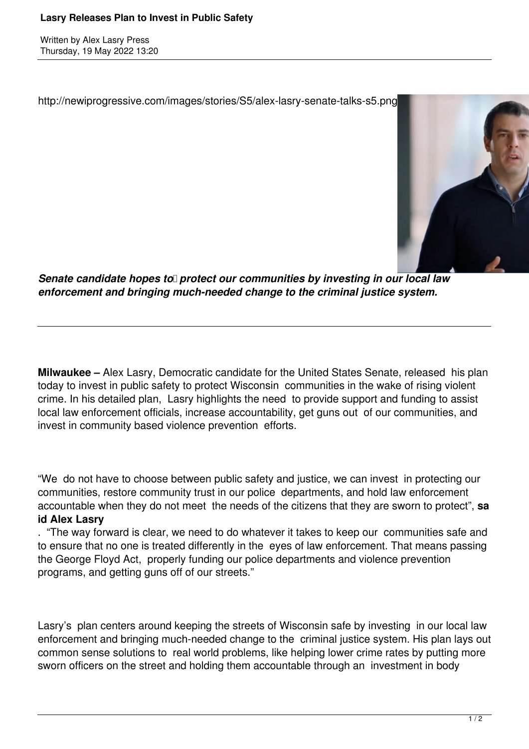Written by Alex Lasry Press Thursday, 19 May 2022 13:20

http://newiprogressive.com/images/stories/S5/alex-lasry-senate-talks-s5.png



*Senate candidate hopes to protect our communities by investing in our local law enforcement and bringing much-needed change to the criminal justice system.*

**Milwaukee –** Alex Lasry, Democratic candidate for the United States Senate, released his plan today to invest in public safety to protect Wisconsin communities in the wake of rising violent crime. In his detailed plan, Lasry highlights the need to provide support and funding to assist local law enforcement officials, increase accountability, get guns out of our communities, and invest in community based violence prevention efforts.

"We do not have to choose between public safety and justice, we can invest in protecting our communities, restore community trust in our police departments, and hold law enforcement accountable when they do not meet the needs of the citizens that they are sworn to protect", **sa id Alex Lasry**

. "The way forward is clear, we need to do whatever it takes to keep our communities safe and to ensure that no one is treated differently in the eyes of law enforcement. That means passing the George Floyd Act, properly funding our police departments and violence prevention programs, and getting guns off of our streets."

Lasry's plan centers around keeping the streets of Wisconsin safe by investing in our local law enforcement and bringing much-needed change to the criminal justice system. His plan lays out common sense solutions to real world problems, like helping lower crime rates by putting more sworn officers on the street and holding them accountable through an investment in body